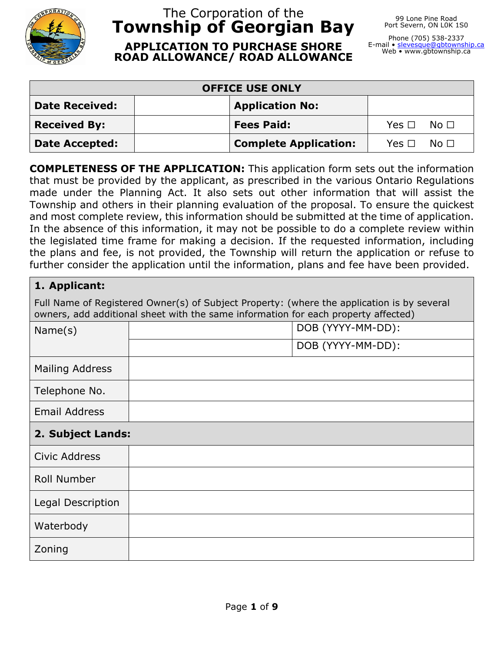

# The Corporation of the **Township of Georgian Bay**

99 Lone Pine Road Port Severn, ON L0K 1S0

**APPLICATION TO PURCHASE SHORE ROAD ALLOWANCE/ ROAD ALLOWANCE**

Phone (705) 538-2337<br>E-mail • <u>slevesque@gbtownship.ca</u> Web • www.gbtownship.ca

| <b>OFFICE USE ONLY</b> |                              |                          |  |  |  |
|------------------------|------------------------------|--------------------------|--|--|--|
| <b>Date Received:</b>  | <b>Application No:</b>       |                          |  |  |  |
| <b>Received By:</b>    | <b>Fees Paid:</b>            | $Yes \Box \quad No \Box$ |  |  |  |
| <b>Date Accepted:</b>  | <b>Complete Application:</b> | $Yes \Box \quad No \Box$ |  |  |  |

**COMPLETENESS OF THE APPLICATION:** This application form sets out the information that must be provided by the applicant, as prescribed in the various Ontario Regulations made under the Planning Act. It also sets out other information that will assist the Township and others in their planning evaluation of the proposal. To ensure the quickest and most complete review, this information should be submitted at the time of application. In the absence of this information, it may not be possible to do a complete review within the legislated time frame for making a decision. If the requested information, including the plans and fee, is not provided, the Township will return the application or refuse to further consider the application until the information, plans and fee have been provided.

| 1. Applicant:                                                                                                                                                                    |                   |  |  |  |
|----------------------------------------------------------------------------------------------------------------------------------------------------------------------------------|-------------------|--|--|--|
| Full Name of Registered Owner(s) of Subject Property: (where the application is by several<br>owners, add additional sheet with the same information for each property affected) |                   |  |  |  |
| Name(s)                                                                                                                                                                          | DOB (YYYY-MM-DD): |  |  |  |
|                                                                                                                                                                                  | DOB (YYYY-MM-DD): |  |  |  |
| <b>Mailing Address</b>                                                                                                                                                           |                   |  |  |  |
| Telephone No.                                                                                                                                                                    |                   |  |  |  |
| <b>Email Address</b>                                                                                                                                                             |                   |  |  |  |
| 2. Subject Lands:                                                                                                                                                                |                   |  |  |  |
| Civic Address                                                                                                                                                                    |                   |  |  |  |
| Roll Number                                                                                                                                                                      |                   |  |  |  |
| Legal Description                                                                                                                                                                |                   |  |  |  |
| Waterbody                                                                                                                                                                        |                   |  |  |  |
| Zoning                                                                                                                                                                           |                   |  |  |  |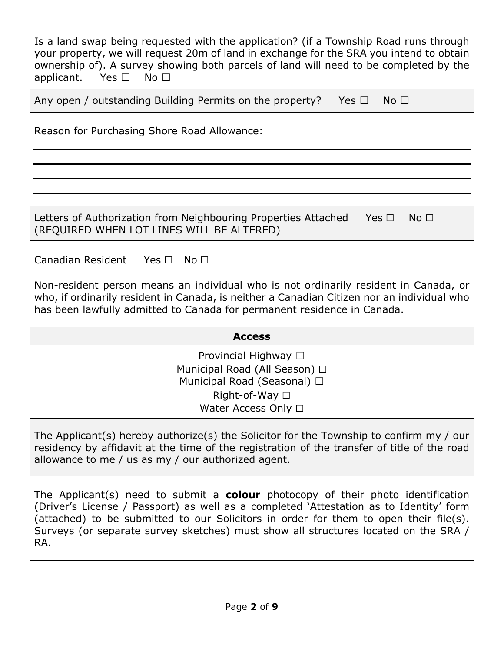| Is a land swap being requested with the application? (if a Township Road runs through<br>your property, we will request 20m of land in exchange for the SRA you intend to obtain<br>ownership of). A survey showing both parcels of land will need to be completed by the<br>applicant. Yes $\square$<br>No <sub>1</sub>                                                 |  |  |  |  |  |
|--------------------------------------------------------------------------------------------------------------------------------------------------------------------------------------------------------------------------------------------------------------------------------------------------------------------------------------------------------------------------|--|--|--|--|--|
| Any open / outstanding Building Permits on the property?<br>Yes $\square$<br>No <sub>1</sub>                                                                                                                                                                                                                                                                             |  |  |  |  |  |
| Reason for Purchasing Shore Road Allowance:                                                                                                                                                                                                                                                                                                                              |  |  |  |  |  |
|                                                                                                                                                                                                                                                                                                                                                                          |  |  |  |  |  |
|                                                                                                                                                                                                                                                                                                                                                                          |  |  |  |  |  |
| Letters of Authorization from Neighbouring Properties Attached<br>Yes $\Box$<br>No <sub>1</sub><br>(REQUIRED WHEN LOT LINES WILL BE ALTERED)                                                                                                                                                                                                                             |  |  |  |  |  |
| Canadian Resident<br>Yes $\Box$<br>No <sub>1</sub>                                                                                                                                                                                                                                                                                                                       |  |  |  |  |  |
| Non-resident person means an individual who is not ordinarily resident in Canada, or<br>who, if ordinarily resident in Canada, is neither a Canadian Citizen nor an individual who<br>has been lawfully admitted to Canada for permanent residence in Canada.                                                                                                            |  |  |  |  |  |
| <b>Access</b>                                                                                                                                                                                                                                                                                                                                                            |  |  |  |  |  |
| Provincial Highway □<br>Municipal Road (All Season) □<br>Municipal Road (Seasonal) □<br>Right-of-Way □<br>Water Access Only $\Box$                                                                                                                                                                                                                                       |  |  |  |  |  |
| The Applicant(s) hereby authorize(s) the Solicitor for the Township to confirm my $/$ our<br>residency by affidavit at the time of the registration of the transfer of title of the road<br>allowance to me / us as my / our authorized agent.                                                                                                                           |  |  |  |  |  |
| The Applicant(s) need to submit a <b>colour</b> photocopy of their photo identification<br>(Driver's License / Passport) as well as a completed 'Attestation as to Identity' form<br>(attached) to be submitted to our Solicitors in order for them to open their file(s).<br>Surveys (or separate survey sketches) must show all structures located on the SRA /<br>RA. |  |  |  |  |  |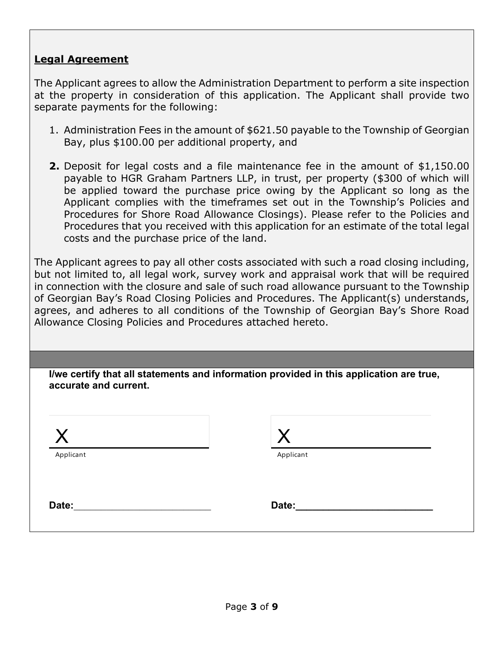#### **Legal Agreement**

The Applicant agrees to allow the Administration Department to perform a site inspection at the property in consideration of this application. The Applicant shall provide two separate payments for the following:

- 1. Administration Fees in the amount of \$621.50 payable to the Township of Georgian Bay, plus \$100.00 per additional property, and
- **2.** Deposit for legal costs and a file maintenance fee in the amount of \$1,150.00 payable to HGR Graham Partners LLP, in trust, per property (\$300 of which will be applied toward the purchase price owing by the Applicant so long as the Applicant complies with the timeframes set out in the Township's Policies and Procedures for Shore Road Allowance Closings). Please refer to the Policies and Procedures that you received with this application for an estimate of the total legal costs and the purchase price of the land.

The Applicant agrees to pay all other costs associated with such a road closing including, but not limited to, all legal work, survey work and appraisal work that will be required in connection with the closure and sale of such road allowance pursuant to the Township of Georgian Bay's Road Closing Policies and Procedures. The Applicant(s) understands, agrees, and adheres to all conditions of the Township of Georgian Bay's Shore Road Allowance Closing Policies and Procedures attached hereto.

**I/we certify that all statements and information provided in this application are true, accurate and current.**

| Applicant | Applicant |  |
|-----------|-----------|--|
| Date:     | Date:     |  |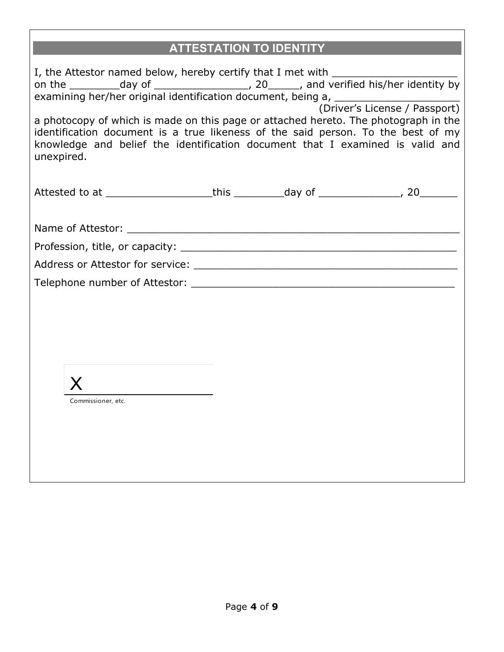# **ATTESTATION TO IDENTITY**

| I, the Attestor named below, hereby certify that I met with ____________________<br>a photocopy of which is made on this page or attached hereto. The photograph in the<br>identification document is a true likeness of the said person. To the best of my<br>knowledge and belief the identification document that I examined is valid and<br>unexpired. |  |  |
|------------------------------------------------------------------------------------------------------------------------------------------------------------------------------------------------------------------------------------------------------------------------------------------------------------------------------------------------------------|--|--|
| Attested to at ______________________this ___________day of _________________, 20_________                                                                                                                                                                                                                                                                 |  |  |
|                                                                                                                                                                                                                                                                                                                                                            |  |  |
| Commissioner, etc.                                                                                                                                                                                                                                                                                                                                         |  |  |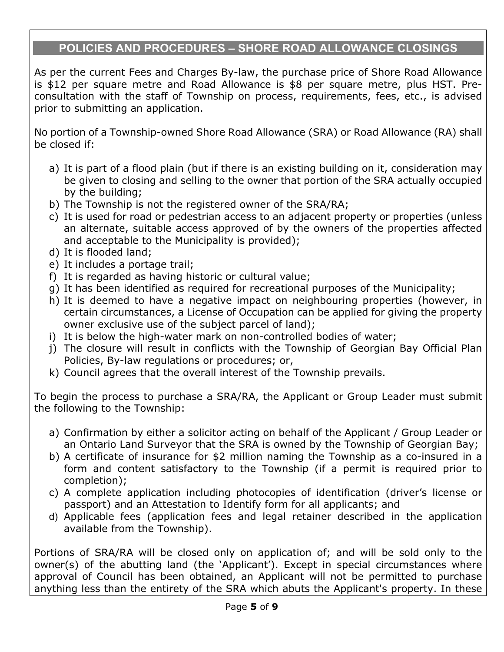# **POLICIES AND PROCEDURES – SHORE ROAD ALLOWANCE CLOSINGS**

As per the current Fees and Charges By-law, the purchase price of Shore Road Allowance is \$12 per square metre and Road Allowance is \$8 per square metre, plus HST. Preconsultation with the staff of Township on process, requirements, fees, etc., is advised prior to submitting an application.

No portion of a Township-owned Shore Road Allowance (SRA) or Road Allowance (RA) shall be closed if:

- a) It is part of a flood plain (but if there is an existing building on it, consideration may be given to closing and selling to the owner that portion of the SRA actually occupied by the building;
- b) The Township is not the registered owner of the SRA/RA;
- c) It is used for road or pedestrian access to an adjacent property or properties (unless an alternate, suitable access approved of by the owners of the properties affected and acceptable to the Municipality is provided);
- d) It is flooded land;
- e) It includes a portage trail;
- f) It is regarded as having historic or cultural value;
- g) It has been identified as required for recreational purposes of the Municipality;
- h) It is deemed to have a negative impact on neighbouring properties (however, in certain circumstances, a License of Occupation can be applied for giving the property owner exclusive use of the subject parcel of land);
- i) It is below the high-water mark on non-controlled bodies of water;
- j) The closure will result in conflicts with the Township of Georgian Bay Official Plan Policies, By-law regulations or procedures; or,
- k) Council agrees that the overall interest of the Township prevails.

To begin the process to purchase a SRA/RA, the Applicant or Group Leader must submit the following to the Township:

- a) Confirmation by either a solicitor acting on behalf of the Applicant / Group Leader or an Ontario Land Surveyor that the SRA is owned by the Township of Georgian Bay;
- b) A certificate of insurance for \$2 million naming the Township as a co-insured in a form and content satisfactory to the Township (if a permit is required prior to completion);
- c) A complete application including photocopies of identification (driver's license or passport) and an Attestation to Identify form for all applicants; and
- d) Applicable fees (application fees and legal retainer described in the application available from the Township).

Portions of SRA/RA will be closed only on application of; and will be sold only to the owner(s) of the abutting land (the 'Applicant'). Except in special circumstances where approval of Council has been obtained, an Applicant will not be permitted to purchase anything less than the entirety of the SRA which abuts the Applicant's property. In these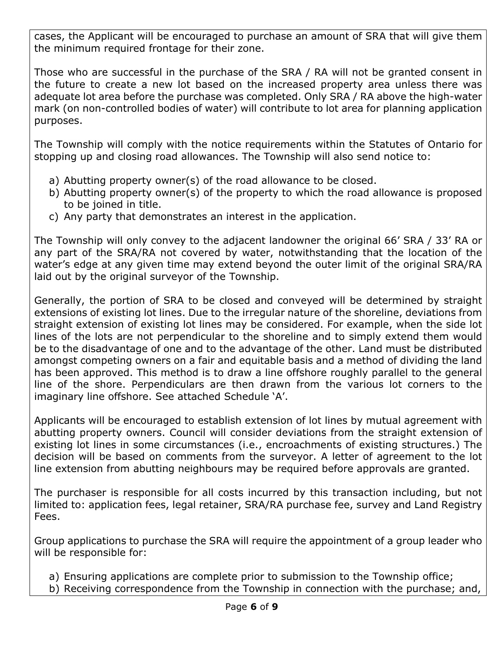cases, the Applicant will be encouraged to purchase an amount of SRA that will give them the minimum required frontage for their zone.

Those who are successful in the purchase of the SRA / RA will not be granted consent in the future to create a new lot based on the increased property area unless there was adequate lot area before the purchase was completed. Only SRA / RA above the high-water mark (on non-controlled bodies of water) will contribute to lot area for planning application purposes.

The Township will comply with the notice requirements within the Statutes of Ontario for stopping up and closing road allowances. The Township will also send notice to:

- a) Abutting property owner(s) of the road allowance to be closed.
- b) Abutting property owner(s) of the property to which the road allowance is proposed to be joined in title.
- c) Any party that demonstrates an interest in the application.

The Township will only convey to the adjacent landowner the original 66' SRA / 33' RA or any part of the SRA/RA not covered by water, notwithstanding that the location of the water's edge at any given time may extend beyond the outer limit of the original SRA/RA laid out by the original surveyor of the Township.

Generally, the portion of SRA to be closed and conveyed will be determined by straight extensions of existing lot lines. Due to the irregular nature of the shoreline, deviations from straight extension of existing lot lines may be considered. For example, when the side lot lines of the lots are not perpendicular to the shoreline and to simply extend them would be to the disadvantage of one and to the advantage of the other. Land must be distributed amongst competing owners on a fair and equitable basis and a method of dividing the land has been approved. This method is to draw a line offshore roughly parallel to the general line of the shore. Perpendiculars are then drawn from the various lot corners to the imaginary line offshore. See attached Schedule 'A'.

Applicants will be encouraged to establish extension of lot lines by mutual agreement with abutting property owners. Council will consider deviations from the straight extension of existing lot lines in some circumstances (i.e., encroachments of existing structures.) The decision will be based on comments from the surveyor. A letter of agreement to the lot line extension from abutting neighbours may be required before approvals are granted.

The purchaser is responsible for all costs incurred by this transaction including, but not limited to: application fees, legal retainer, SRA/RA purchase fee, survey and Land Registry Fees.

Group applications to purchase the SRA will require the appointment of a group leader who will be responsible for:

- a) Ensuring applications are complete prior to submission to the Township office;
- b) Receiving correspondence from the Township in connection with the purchase; and,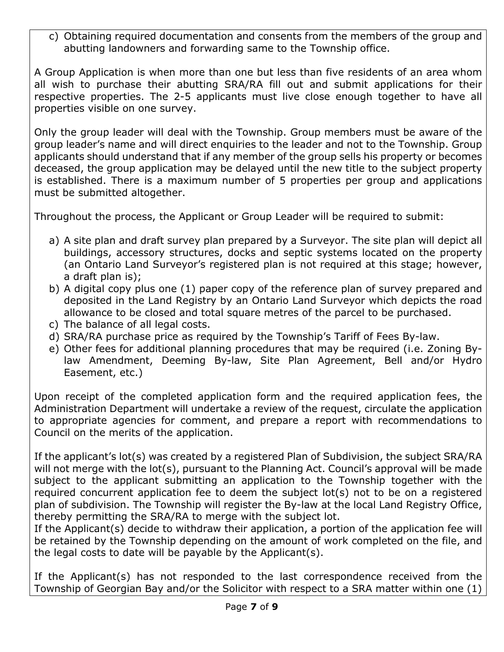c) Obtaining required documentation and consents from the members of the group and abutting landowners and forwarding same to the Township office.

A Group Application is when more than one but less than five residents of an area whom all wish to purchase their abutting SRA/RA fill out and submit applications for their respective properties. The 2-5 applicants must live close enough together to have all properties visible on one survey.

Only the group leader will deal with the Township. Group members must be aware of the group leader's name and will direct enquiries to the leader and not to the Township. Group applicants should understand that if any member of the group sells his property or becomes deceased, the group application may be delayed until the new title to the subject property is established. There is a maximum number of 5 properties per group and applications must be submitted altogether.

Throughout the process, the Applicant or Group Leader will be required to submit:

- a) A site plan and draft survey plan prepared by a Surveyor. The site plan will depict all buildings, accessory structures, docks and septic systems located on the property (an Ontario Land Surveyor's registered plan is not required at this stage; however, a draft plan is);
- b) A digital copy plus one (1) paper copy of the reference plan of survey prepared and deposited in the Land Registry by an Ontario Land Surveyor which depicts the road allowance to be closed and total square metres of the parcel to be purchased.
- c) The balance of all legal costs.
- d) SRA/RA purchase price as required by the Township's Tariff of Fees By-law.
- e) Other fees for additional planning procedures that may be required (i.e. Zoning Bylaw Amendment, Deeming By-law, Site Plan Agreement, Bell and/or Hydro Easement, etc.)

Upon receipt of the completed application form and the required application fees, the Administration Department will undertake a review of the request, circulate the application to appropriate agencies for comment, and prepare a report with recommendations to Council on the merits of the application.

If the applicant's lot(s) was created by a registered Plan of Subdivision, the subject SRA/RA will not merge with the lot(s), pursuant to the Planning Act. Council's approval will be made subject to the applicant submitting an application to the Township together with the required concurrent application fee to deem the subject lot(s) not to be on a registered plan of subdivision. The Township will register the By-law at the local Land Registry Office, thereby permitting the SRA/RA to merge with the subject lot.

If the Applicant(s) decide to withdraw their application, a portion of the application fee will be retained by the Township depending on the amount of work completed on the file, and the legal costs to date will be payable by the Applicant(s).

If the Applicant(s) has not responded to the last correspondence received from the Township of Georgian Bay and/or the Solicitor with respect to a SRA matter within one (1)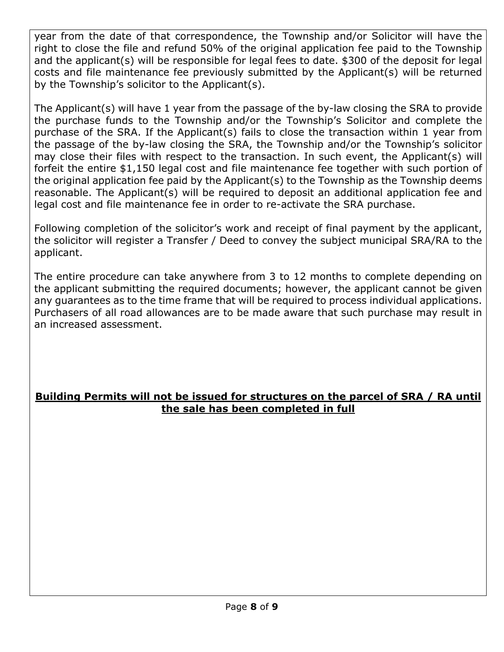year from the date of that correspondence, the Township and/or Solicitor will have the right to close the file and refund 50% of the original application fee paid to the Township and the applicant(s) will be responsible for legal fees to date. \$300 of the deposit for legal costs and file maintenance fee previously submitted by the Applicant(s) will be returned by the Township's solicitor to the Applicant(s).

The Applicant(s) will have 1 year from the passage of the by-law closing the SRA to provide the purchase funds to the Township and/or the Township's Solicitor and complete the purchase of the SRA. If the Applicant(s) fails to close the transaction within 1 year from the passage of the by-law closing the SRA, the Township and/or the Township's solicitor may close their files with respect to the transaction. In such event, the Applicant(s) will forfeit the entire \$1,150 legal cost and file maintenance fee together with such portion of the original application fee paid by the Applicant(s) to the Township as the Township deems reasonable. The Applicant(s) will be required to deposit an additional application fee and legal cost and file maintenance fee in order to re-activate the SRA purchase.

Following completion of the solicitor's work and receipt of final payment by the applicant, the solicitor will register a Transfer / Deed to convey the subject municipal SRA/RA to the applicant.

The entire procedure can take anywhere from 3 to 12 months to complete depending on the applicant submitting the required documents; however, the applicant cannot be given any guarantees as to the time frame that will be required to process individual applications. Purchasers of all road allowances are to be made aware that such purchase may result in an increased assessment.

### **Building Permits will not be issued for structures on the parcel of SRA / RA until the sale has been completed in full**